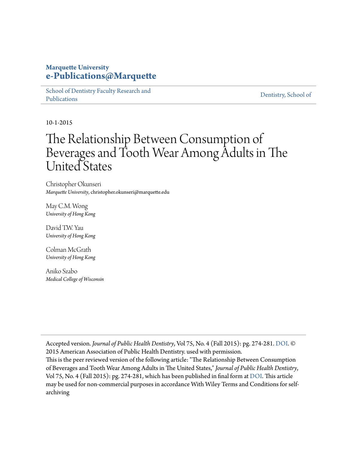## **Marquette University [e-Publications@Marquette](https://epublications.marquette.edu)**

[School of Dentistry Faculty Research and](https://epublications.marquette.edu/dentistry_fac) [Publications](https://epublications.marquette.edu/dentistry_fac)

[Dentistry, School of](https://epublications.marquette.edu/dentistry)

10-1-2015

# The Relationship Between Consumption of Beverages and Tooth Wear Among Adults in The United States

Christopher Okunseri *Marquette University*, christopher.okunseri@marquette.edu

May C.M. Wong *University of Hong Kong*

David T.W. Yau *University of Hong Kong*

Colman McGrath *University of Hong Kong*

Aniko Szabo *Medical College of Wisconsin*

Accepted version. *Journal of Public Health Dentistry*, Vol 75, No. 4 (Fall 2015): pg. 274-281. [DOI](http://dx.doi.org/10.1111/jphd.12096). © 2015 American Association of Public Health Dentistry. used with permission. This is the peer reviewed version of the following article: "The Relationship Between Consumption of Beverages and Tooth Wear Among Adults in The United States," *Journal of Public Health Dentistry*, Vol 75, No. 4 (Fall 2015): pg. 274-281, which has been published in final form at [DOI.](http://dx.doi.org/10.1111/jphd.12096) This article may be used for non-commercial purposes in accordance With Wiley Terms and Conditions for selfarchiving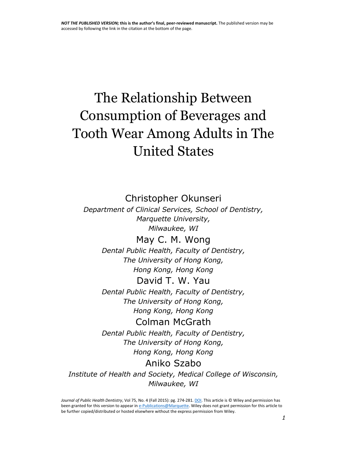# The Relationship Between Consumption of Beverages and Tooth Wear Among Adults in The United States

Christopher Okunseri

*Department of Clinical Services, School of Dentistry, Marquette University, Milwaukee, WI*

> May C. M. Wong *Dental Public Health, Faculty of Dentistry,*

*The University of Hong Kong, Hong Kong, Hong Kong* David T. W. Yau

*Dental Public Health, Faculty of Dentistry, The University of Hong Kong, Hong Kong, Hong Kong*

Colman McGrath *Dental Public Health, Faculty of Dentistry, The University of Hong Kong, Hong Kong, Hong Kong*

# Aniko Szabo

*Institute of Health and Society, Medical College of Wisconsin, Milwaukee, WI*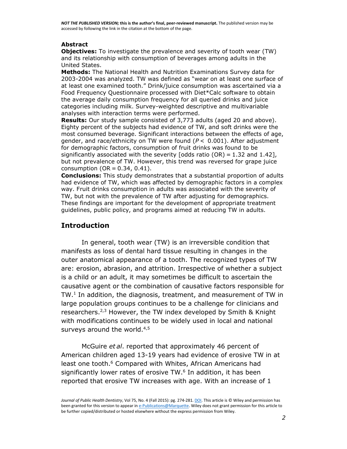### **Abstract**

**Objectives:** To investigate the prevalence and severity of tooth wear (TW) and its relationship with consumption of beverages among adults in the United States.

**Methods:** The National Health and Nutrition Examinations Survey data for 2003-2004 was analyzed. TW was defined as "wear on at least one surface of at least one examined tooth." Drink/juice consumption was ascertained via a Food Frequency Questionnaire processed with Diet\*Calc software to obtain the average daily consumption frequency for all queried drinks and juice categories including milk. Survey-weighted descriptive and multivariable analyses with interaction terms were performed.

**Results:** Our study sample consisted of 3,773 adults (aged 20 and above). Eighty percent of the subjects had evidence of TW, and soft drinks were the most consumed beverage. Significant interactions between the effects of age, gender, and race/ethnicity on TW were found (*P* < 0.001). After adjustment for demographic factors, consumption of fruit drinks was found to be significantly associated with the severity [odds ratio (OR) = 1.32 and 1.42], but not prevalence of TW. However, this trend was reversed for grape juice consumption ( $OR = 0.34$ ,  $0.41$ ).

**Conclusions:** This study demonstrates that a substantial proportion of adults had evidence of TW, which was affected by demographic factors in a complex way. Fruit drinks consumption in adults was associated with the severity of TW, but not with the prevalence of TW after adjusting for demographics. These findings are important for the development of appropriate treatment guidelines, public policy, and programs aimed at reducing TW in adults.

### **Introduction**

In general, tooth wear (TW) is an irreversible condition that manifests as loss of dental hard tissue resulting in changes in the outer anatomical appearance of a tooth. The recognized types of TW are: erosion, abrasion, and attrition. Irrespective of whether a subject is a child or an adult, it may sometimes be difficult to ascertain the causative agent or the combination of causative factors responsible for TW[.](http://onlinelibrary.wiley.com/doi/10.1111/jphd.12096/full#jphd12096-bib-0001) 1 In addition, the diagnosis, treatment, and measurement of TW in large population groups continues to be a challenge for clinicians and researchers.<sup>[2,3](http://onlinelibrary.wiley.com/doi/10.1111/jphd.12096/full#jphd12096-bib-0002)</sup> However, the TW index developed by Smith & Knight with modifications continues to be widely used in local and national surveys around the world.<sup>[4,5](http://onlinelibrary.wiley.com/doi/10.1111/jphd.12096/full#jphd12096-bib-0004)</sup>

McGuire *et al*. reported that approximately 46 percent of American children aged 13-19 years had evidence of erosive TW in at least one tooth. [6](http://onlinelibrary.wiley.com/doi/10.1111/jphd.12096/full#jphd12096-bib-0006) Compared with Whites, African Americans had significantly lower rates of erosive TW. [6](http://onlinelibrary.wiley.com/doi/10.1111/jphd.12096/full#jphd12096-bib-0006) In addition, it has been reported that erosive TW increases with age. With an increase of 1

Journal of Public Health Dentistry, Vol 75, No. 4 (Fall 2015): pg. 274-281. **DOI**. This article is © Wiley and permission has been granted for this version to appear i[n e-Publications@Marquette.](http://epublications.marquette.edu/) Wiley does not grant permission for this article to be further copied/distributed or hosted elsewhere without the express permission from Wiley.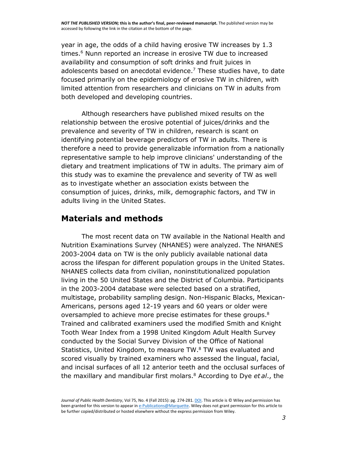year in age, the odds of a child having erosive TW increases by 1.3 times. [6](http://onlinelibrary.wiley.com/doi/10.1111/jphd.12096/full#jphd12096-bib-0006) Nunn reported an increase in erosive TW due to increased availability and consumption of soft drinks and fruit juices in adolescents based on anecdotal evidence.<sup>[7](http://onlinelibrary.wiley.com/doi/10.1111/jphd.12096/full#jphd12096-bib-0007)</sup> These studies have, to date focused primarily on the epidemiology of erosive TW in children, with limited attention from researchers and clinicians on TW in adults from both developed and developing countries.

Although researchers have published mixed results on the relationship between the erosive potential of juices/drinks and the prevalence and severity of TW in children, research is scant on identifying potential beverage predictors of TW in adults. There is therefore a need to provide generalizable information from a nationally representative sample to help improve clinicians' understanding of the dietary and treatment implications of TW in adults. The primary aim of this study was to examine the prevalence and severity of TW as well as to investigate whether an association exists between the consumption of juices, drinks, milk, demographic factors, and TW in adults living in the United States.

## **Materials and methods**

The most recent data on TW available in the National Health and Nutrition Examinations Survey (NHANES) were analyzed. The NHANES 2003-2004 data on TW is the only publicly available national data across the lifespan for different population groups in the United States. NHANES collects data from civilian, noninstitutionalized population living in the 50 United States and the District of Columbia. Participants in the 2003-2004 database were selected based on a stratified, multistage, probability sampling design. Non-Hispanic Blacks, Mexican-Americans, persons aged 12-19 years and 60 years or older were oversampled to achieve more precise estimates for these groups.<sup>[8](http://onlinelibrary.wiley.com/doi/10.1111/jphd.12096/full#jphd12096-bib-0008)</sup> Trained and calibrated examiners used the modified Smith and Knight Tooth Wear Index from a 1998 United Kingdom Adult Health Survey conducted by the Social Survey Division of the Office of National Statistics, United Kingdom, to measure TW.<sup>[8](http://onlinelibrary.wiley.com/doi/10.1111/jphd.12096/full#jphd12096-bib-0008)</sup> TW was evaluated and scored visually by trained examiners who assessed the lingual, facial, and incisal surfaces of all 12 anterior teeth and the occlusal surfaces of the maxillary and mandibular first molars. [8](http://onlinelibrary.wiley.com/doi/10.1111/jphd.12096/full#jphd12096-bib-0008) According to Dye *et al*., the

*Journal of Public Health Dentistry*, Vol 75, No. 4 (Fall 2015): pg. 274-281[. DOI.](http://dx.doi.org/10.1111/jphd.12096) This article is © Wiley and permission has been granted for this version to appear i[n e-Publications@Marquette.](http://epublications.marquette.edu/) Wiley does not grant permission for this article to be further copied/distributed or hosted elsewhere without the express permission from Wiley.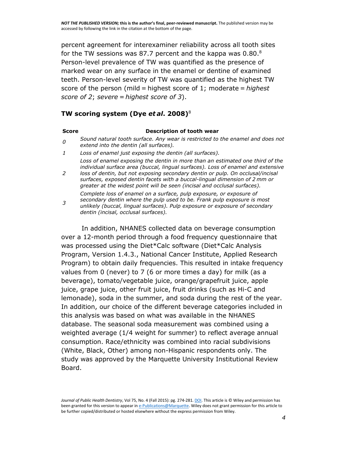percent agreement for interexaminer reliability across all tooth sites for the TW sessions was [8](http://onlinelibrary.wiley.com/doi/10.1111/jphd.12096/full#jphd12096-bib-0008)7.7 percent and the kappa was 0.80. $^8$ Person-level prevalence of TW was quantified as the presence of marked wear on any surface in the enamel or dentine of examined teeth. Person-level severity of TW was quantified as the highest TW score of the person (mild = highest score of 1; moderate = *highest score of 2*; *severe = highest score of 3*).

### **TW scoring system (Dye** *et al***. 2008)**[8](http://onlinelibrary.wiley.com/doi/10.1111/jphd.12096/full#jphd12096-bib-0008)

### **Score Description of tooth wear**

- *0 Sound natural tooth surface. Any wear is restricted to the enamel and does not extend into the dentin (all surfaces).*
- *1 Loss of enamel just exposing the dentin (all surfaces).*

*Loss of enamel exposing the dentin in more than an estimated one third of the individual surface area (buccal, lingual surfaces). Loss of enamel and extensive* 

*2 loss of dentin, but not exposing secondary dentin or pulp. On occlusal/incisal surfaces, exposed dentin facets with a buccal-lingual dimension of 2 mm or greater at the widest point will be seen (incisal and occlusal surfaces).*

*Complete loss of enamel on a surface, pulp exposure, or exposure of secondary dentin where the pulp used to be. Frank pulp exposure is most* 

*3 unlikely (buccal, lingual surfaces). Pulp exposure or exposure of secondary dentin (incisal, occlusal surfaces).*

In addition, NHANES collected data on beverage consumption over a 12-month period through a food frequency questionnaire that was processed using the Diet\*Calc software (Diet\*Calc Analysis Program, Version 1.4.3., National Cancer Institute, Applied Research Program) to obtain daily frequencies. This resulted in intake frequency values from 0 (never) to 7 (6 or more times a day) for milk (as a beverage), tomato/vegetable juice, orange/grapefruit juice, apple juice, grape juice, other fruit juice, fruit drinks (such as Hi-C and lemonade), soda in the summer, and soda during the rest of the year. In addition, our choice of the different beverage categories included in this analysis was based on what was available in the NHANES database. The seasonal soda measurement was combined using a weighted average (1/4 weight for summer) to reflect average annual consumption. Race/ethnicity was combined into racial subdivisions (White, Black, Other) among non-Hispanic respondents only. The study was approved by the Marquette University Institutional Review Board.

*Journal of Public Health Dentistry*, Vol 75, No. 4 (Fall 2015): pg. 274-281[. DOI.](http://dx.doi.org/10.1111/jphd.12096) This article is © Wiley and permission has been granted for this version to appear i[n e-Publications@Marquette.](http://epublications.marquette.edu/) Wiley does not grant permission for this article to be further copied/distributed or hosted elsewhere without the express permission from Wiley.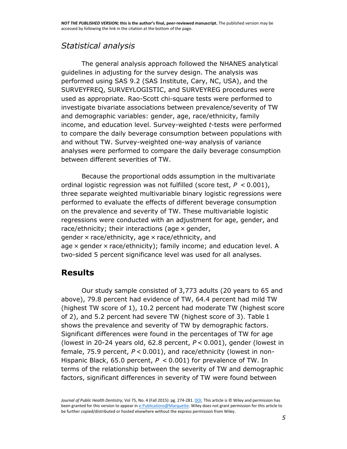# *Statistical analysis*

The general analysis approach followed the NHANES analytical guidelines in adjusting for the survey design. The analysis was performed using SAS 9.2 (SAS Institute, Cary, NC, USA), and the SURVEYFREQ, SURVEYLOGISTIC, and SURVEYREG procedures were used as appropriate. Rao-Scott chi-square tests were performed to investigate bivariate associations between prevalence/severity of TW and demographic variables: gender, age, race/ethnicity, family income, and education level. Survey-weighted *t*-tests were performed to compare the daily beverage consumption between populations with and without TW. Survey-weighted one-way analysis of variance analyses were performed to compare the daily beverage consumption between different severities of TW.

Because the proportional odds assumption in the multivariate ordinal logistic regression was not fulfilled (score test, *P* < 0.001), three separate weighted multivariable binary logistic regressions were performed to evaluate the effects of different beverage consumption on the prevalence and severity of TW. These multivariable logistic regressions were conducted with an adjustment for age, gender, and race/ethnicity; their interactions (age  $\times$  gender, gender  $\times$  race/ethnicity, age  $\times$  race/ethnicity, and age × gender × race/ethnicity); family income; and education level. A two-sided 5 percent significance level was used for all analyses.

# **Results**

Our study sample consisted of 3,773 adults (20 years to 65 and above), 79.8 percent had evidence of TW, 64.4 percent had mild TW (highest TW score of 1), 10.2 percent had moderate TW (highest score of 2), and 5.2 percent had severe TW (highest score of 3). Table [1](http://onlinelibrary.wiley.com/doi/10.1111/jphd.12096/full#jphd12096-tbl-0001) shows the prevalence and severity of TW by demographic factors. Significant differences were found in the percentages of TW for age (lowest in 20-24 years old, 62.8 percent, *P* < 0.001), gender (lowest in female, 75.9 percent, *P* < 0.001), and race/ethnicity (lowest in non-Hispanic Black, 65.0 percent, *P* < 0.001) for prevalence of TW. In terms of the relationship between the severity of TW and demographic factors, significant differences in severity of TW were found between

*Journal of Public Health Dentistry*, Vol 75, No. 4 (Fall 2015): pg. 274-281[. DOI.](http://dx.doi.org/10.1111/jphd.12096) This article is © Wiley and permission has been granted for this version to appear i[n e-Publications@Marquette.](http://epublications.marquette.edu/) Wiley does not grant permission for this article to be further copied/distributed or hosted elsewhere without the express permission from Wiley.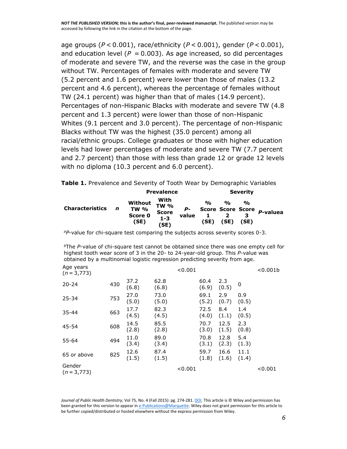age groups (*P* < 0.001), race/ethnicity (*P* < 0.001), gender (*P* < 0.001), and education level  $(P = 0.003)$ . As age increased, so did percentages of moderate and severe TW, and the reverse was the case in the group without TW. Percentages of females with moderate and severe TW (5.2 percent and 1.6 percent) were lower than those of males (13.2 percent and 4.6 percent), whereas the percentage of females without TW (24.1 percent) was higher than that of males (14.9 percent). Percentages of non-Hispanic Blacks with moderate and severe TW (4.8 percent and 1.3 percent) were lower than those of non-Hispanic Whites (9.1 percent and 3.0 percent). The percentage of non-Hispanic Blacks without TW was the highest (35.0 percent) among all racial/ethnic groups. College graduates or those with higher education levels had lower percentages of moderate and severe TW (7.7 percent and 2.7 percent) than those with less than grade 12 or grade 12 levels with no diploma (10.3 percent and 6.0 percent).

**Table 1.** Prevalence and Severity of Tooth Wear by Demographic Variables

|                        |   |                                           | <b>Prevalence</b>                                      |             | <b>Severity</b>       |                        |                            |                                    |  |
|------------------------|---|-------------------------------------------|--------------------------------------------------------|-------------|-----------------------|------------------------|----------------------------|------------------------------------|--|
| <b>Characteristics</b> | n | Without<br><b>TW %</b><br>Score 0<br>(SE) | With<br><b>TW %</b><br><b>Score</b><br>$1 - 3$<br>(SE) | P-<br>value | $\frac{0}{0}$<br>(SE) | $\mathbf{O}_0$<br>(SE) | $\frac{O}{D}$<br>з<br>(SE) | Score Score Score <i>p</i> -valuea |  |

*<sup>a</sup>P*-value for chi-square test comparing the subjects across severity scores 0-3.

*<sup>b</sup>*The *P*-value of chi-square test cannot be obtained since there was one empty cell for highest tooth wear score of 3 in the 20- to 24-year-old group. This *P*-value was obtained by a multinomial logistic regression predicting severity from age.

| Age years<br>$(n = 3, 773)$ |     |               |               | < 0.001 |               |               |               | < 0.001b |
|-----------------------------|-----|---------------|---------------|---------|---------------|---------------|---------------|----------|
| $20 - 24$                   | 430 | 37.2<br>(6.8) | 62.8<br>(6.8) |         | 60.4<br>(6.9) | 2.3<br>(0.5)  | 0             |          |
| $25 - 34$                   | 753 | 27.0<br>(5.0) | 73.0<br>(5.0) |         | 69.1<br>(5.2) | 2.9<br>(0.7)  | 0.9<br>(0.5)  |          |
| $35 - 44$                   | 663 | 17.7<br>(4.5) | 82.3<br>(4.5) |         | 72.5<br>(4.0) | 8.4<br>(1.1)  | 1.4<br>(0.5)  |          |
| $45 - 54$                   | 608 | 14.5<br>(2.8) | 85.5<br>(2.8) |         | 70.7<br>(3.0) | 12.5<br>(1.5) | 2.3<br>(0.8)  |          |
| 55-64                       | 494 | 11.0<br>(3.4) | 89.0<br>(3.4) |         | 70.8<br>(3.1) | 12.8<br>(2.3) | 5.4<br>(1.3)  |          |
| 65 or above                 | 825 | 12.6<br>(1.5) | 87.4<br>(1.5) |         | 59.7<br>(1.8) | 16.6<br>(1.6) | 11.1<br>(1.4) |          |
| Gender<br>$(n=3,773)$       |     |               |               | < 0.001 |               |               |               | < 0.001  |
|                             |     |               |               |         |               |               |               |          |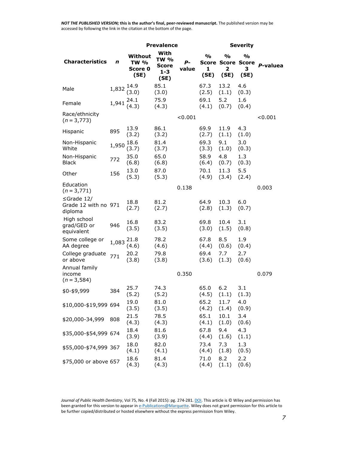|                                               |       |                                           | <b>Prevalence</b>                               |             | <b>Severity</b>            |                                                       |                            |            |  |
|-----------------------------------------------|-------|-------------------------------------------|-------------------------------------------------|-------------|----------------------------|-------------------------------------------------------|----------------------------|------------|--|
| <b>Characteristics</b>                        | n     | Without<br><b>TW %</b><br>Score 0<br>(SE) | With<br><b>TW %</b><br>Score<br>$1 - 3$<br>(SE) | Р-<br>value | $\frac{1}{2}$<br>1<br>(SE) | %<br><b>Score Score Score</b><br>$\mathbf{z}$<br>(SE) | $\frac{0}{0}$<br>3<br>(SE) | P-valuea   |  |
| Male                                          | 1,832 | 14.9<br>(3.0)                             | 85.1<br>(3.0)                                   |             | 67.3<br>(2.5)              | 13.2<br>(1.1)                                         | 4.6<br>(0.3)               |            |  |
| Female                                        | 1,941 | 24.1<br>(4.3)                             | 75.9<br>(4.3)                                   |             | 69.1<br>(4.1)              | 5.2<br>(0.7)                                          | 1.6<br>(0.4)               |            |  |
| Race/ethnicity<br>$(n = 3, 773)$              |       |                                           |                                                 | < 0.001     |                            |                                                       |                            | ${<}0.001$ |  |
| Hispanic                                      | 895   | 13.9<br>(3.2)                             | 86.1<br>(3.2)                                   |             | 69.9<br>(2.7)              | 11.9<br>(1.1)                                         | 4.3<br>(1.0)               |            |  |
| Non-Hispanic<br>White                         | 1,950 | 18.6<br>(3.7)                             | 81.4<br>(3.7)                                   |             | 69.3<br>(3.3)              | 9.1<br>(1.0)                                          | 3.0<br>(0.3)               |            |  |
| Non-Hispanic<br><b>Black</b>                  | 772   | 35.0<br>(6.8)                             | 65.0<br>(6.8)                                   |             | 58.9<br>(6.4)              | 4.8<br>(0.7)                                          | 1.3<br>(0.3)               |            |  |
| Other                                         | 156   | 13.0<br>(5.3)                             | 87.0<br>(5.3)                                   |             | 70.1<br>(4.9)              | 11.3<br>(3.4)                                         | 5.5<br>(2.4)               |            |  |
| Education<br>$(n = 3, 771)$                   |       |                                           |                                                 | 0.138       |                            |                                                       |                            | 0.003      |  |
| ≤Grade 12/<br>Grade 12 with no 971<br>diploma |       | 18.8<br>(2.7)                             | 81.2<br>(2.7)                                   |             | 64.9<br>(2.8)              | 10.3<br>(1.3)                                         | 6.0<br>(0.7)               |            |  |
| High school<br>grad/GED or<br>equivalent      | 946   | 16.8<br>(3.5)                             | 83.2<br>(3.5)                                   |             | 69.8<br>(3.0)              | 10.4<br>(1.5)                                         | 3.1<br>(0.8)               |            |  |
| Some college or<br>AA degree                  | 1,083 | 21.8<br>(4.6)                             | 78.2<br>(4.6)                                   |             | 67.8<br>(4.4)              | 8.5<br>(0.6)                                          | 1.9<br>(0.4)               |            |  |
| College graduate<br>or above                  | 771   | 20.2<br>(3.8)                             | 79.8<br>(3.8)                                   |             | 69.4<br>(3.6)              | 7.7<br>(1.3)                                          | 2.7<br>(0.6)               |            |  |
| Annual family<br>income<br>$(n = 3, 584)$     |       |                                           |                                                 | 0.350       |                            |                                                       |                            | 0.079      |  |
| \$0-\$9,999                                   | 384   | 25.7<br>(5.2)                             | 74.3<br>(5.2)                                   |             | 65.0<br>(4.5)              | 6.2<br>(1.1)                                          | 3.1<br>(1.3)               |            |  |
| \$10,000-\$19,999 694                         |       | 19.0<br>(3.5)                             | 81.0<br>(3.5)                                   |             | 65.2<br>(4.2)              | 11.7<br>(1.4)                                         | 4.0<br>(0.9)               |            |  |
| \$20,000-34,999                               | 808   | 21.5<br>(4.3)                             | 78.5<br>(4.3)                                   |             | 65.1<br>(4.1)              | 10.1<br>(1.0)                                         | 3.4<br>(0.6)               |            |  |
| \$35,000-\$54,999 674                         |       | 18.4<br>(3.9)                             | 81.6<br>(3.9)                                   |             | 67.8<br>(4.4)              | 9.4<br>(1.6)                                          | 4.3<br>(1.1)               |            |  |
| \$55,000-\$74,999 367                         |       | 18.0<br>(4.1)                             | 82.0<br>(4.1)                                   |             | 73.4<br>(4.4)              | 7.3<br>(1.8)                                          | 1.3<br>(0.5)               |            |  |
| \$75,000 or above 657                         |       | 18.6<br>(4.3)                             | 81.4<br>(4.3)                                   |             | 71.0<br>(4.4)              | 8.2<br>(1.1)                                          | 2.2<br>(0.6)               |            |  |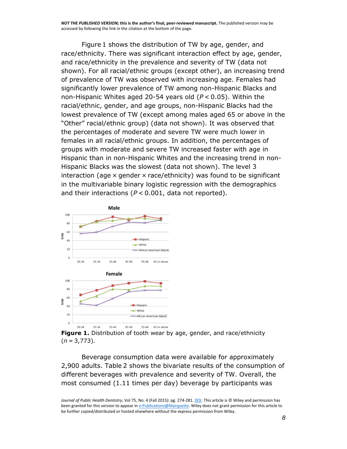Figure [1](http://onlinelibrary.wiley.com/doi/10.1111/jphd.12096/full#jphd12096-fig-0001) shows the distribution of TW by age, gender, and race/ethnicity. There was significant interaction effect by age, gender, and race/ethnicity in the prevalence and severity of TW (data not shown). For all racial/ethnic groups (except other), an increasing trend of prevalence of TW was observed with increasing age. Females had significantly lower prevalence of TW among non-Hispanic Blacks and non-Hispanic Whites aged 20-54 years old (*P* < 0.05). Within the racial/ethnic, gender, and age groups, non-Hispanic Blacks had the lowest prevalence of TW (except among males aged 65 or above in the "Other" racial/ethnic group) (data not shown). It was observed that the percentages of moderate and severe TW were much lower in females in all racial/ethnic groups. In addition, the percentages of groups with moderate and severe TW increased faster with age in Hispanic than in non-Hispanic Whites and the increasing trend in non-Hispanic Blacks was the slowest (data not shown). The level 3 interaction (age  $\times$  gender  $\times$  race/ethnicity) was found to be significant in the multivariable binary logistic regression with the demographics and their interactions (*P* < 0.001, data not reported).



**Figure 1.** Distribution of tooth wear by age, gender, and race/ethnicity (*n* = 3,773).

Beverage consumption data were available for approximately 2,900 adults. Table [2](http://onlinelibrary.wiley.com/doi/10.1111/jphd.12096/full#jphd12096-tbl-0002) shows the bivariate results of the consumption of different beverages with prevalence and severity of TW. Overall, the most consumed (1.11 times per day) beverage by participants was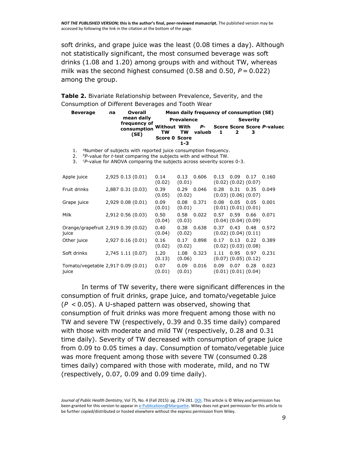soft drinks, and grape juice was the least (0.08 times a day). Although not statistically significant, the most consumed beverage was soft drinks (1.08 and 1.20) among groups with and without TW, whereas milk was the second highest consumed  $(0.58$  and  $0.50$ ,  $P = 0.022$ ) among the group.

**Table 2.** Bivariate Relationship between Prevalence, Severity, and the Consumption of Different Beverages and Tooth Wear

| <b>Beverage</b> | na | Overall                                                                                                       | Mean daily frequency of consumption (SE) |                   |        |              |  |  |                                            |  |  |
|-----------------|----|---------------------------------------------------------------------------------------------------------------|------------------------------------------|-------------------|--------|--------------|--|--|--------------------------------------------|--|--|
|                 |    | mean daily                                                                                                    |                                          | <b>Prevalence</b> |        | Severity     |  |  |                                            |  |  |
|                 |    | frequency of<br>consumption<br>(SE)                                                                           | <b>TW</b>                                | <b>TW</b>         | valueb | $\mathbf{1}$ |  |  | Without With P- Score Score Score P-valuec |  |  |
|                 |    |                                                                                                               | <b>Score 0 Score</b>                     |                   |        |              |  |  |                                            |  |  |
|                 |    |                                                                                                               |                                          | $1 - 3$           |        |              |  |  |                                            |  |  |
|                 |    | ANI and home of contribution and the model of the contribution of the contribution of the contribution of the |                                          |                   |        |              |  |  |                                            |  |  |

1. <sup>a</sup>Number of subjects with reported juice consumption frequency.

2. *<sup>b</sup>P*-value for *t*-test comparing the subjects with and without TW.

3. *<sup>c</sup>P*-value for ANOVA comparing the subjects across severity scores 0-3.

| Apple juice  | 2,925 0.13 (0.01)                   | 0.14<br>(0.02) | 0.606<br>0.13<br>(0.01) | 0.09<br>0.17<br>0.160<br>0.13<br>$(0.02)$ $(0.02)$ $(0.07)$ |
|--------------|-------------------------------------|----------------|-------------------------|-------------------------------------------------------------|
| Fruit drinks | 2,887 0.31 (0.03)                   | 0.39<br>(0.05) | 0.29<br>0.046<br>(0.02) | 0.35<br>0.28<br>0.31<br>0.049<br>$(0.03)$ $(0.06)$ $(0.07)$ |
| Grape juice  | 2,929 0.08 (0.01)                   | 0.09<br>(0.01) | 0.08<br>0.371<br>(0.01) | 0.05<br>0.05<br>0.001<br>0.08<br>$(0.01)$ $(0.01)$ $(0.01)$ |
| Milk         | 2,912 0.56 (0.03)                   | 0.50<br>(0.04) | 0.58<br>0.022<br>(0.03) | 0.59<br>0.66<br>0.071<br>0.57<br>$(0.04)$ $(0.04)$ $(0.09)$ |
| juice        | Orange/grapefruit 2,919 0.39 (0.02) | 0.40<br>(0.04) | 0.38<br>0.638<br>(0.02) | 0.43<br>0.48<br>0.37<br>0.572<br>$(0.02)$ $(0.04)$ $(0.11)$ |
| Other juice  | 2,927 0.16 (0.01)                   | 0.16<br>(0.02) | 0.898<br>0.17<br>(0.02) | 0.13<br>0.22<br>0.389<br>0.17<br>$(0.02)$ $(0.03)$ $(0.08)$ |
| Soft drinks  | 2,745 1.11 (0.07)                   | 1.20<br>(0.13) | 1.08<br>0.323<br>(0.06) | 0.95<br>0.97<br>0.231<br>1.11<br>$(0.07)$ $(0.05)$ $(0.12)$ |
| juice        | Tomato/vegetable 2,917 0.09 (0.01)  | 0.07<br>(0.01) | 0.016<br>0.09<br>(0.01) | 0.28<br>0.023<br>0.09<br>0.07<br>$(0.01)$ $(0.01)$ $(0.04)$ |

In terms of TW severity, there were significant differences in the consumption of fruit drinks, grape juice, and tomato/vegetable juice (*P* < 0.05). A U-shaped pattern was observed, showing that consumption of fruit drinks was more frequent among those with no TW and severe TW (respectively, 0.39 and 0.35 time daily) compared with those with moderate and mild TW (respectively, 0.28 and 0.31 time daily). Severity of TW decreased with consumption of grape juice from 0.09 to 0.05 times a day. Consumption of tomato/vegetable juice was more frequent among those with severe TW (consumed 0.28 times daily) compared with those with moderate, mild, and no TW (respectively, 0.07, 0.09 and 0.09 time daily).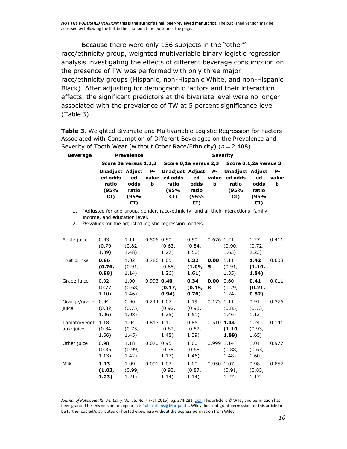Because there were only 156 subjects in the "other" race/ethnicity group, weighted multivariable binary logistic regression analysis investigating the effects of different beverage consumption on the presence of TW was performed with only three major race/ethnicity groups (Hispanic, non-Hispanic White, and non-Hispanic Black). After adjusting for demographic factors and their interaction effects, the significant predictors at the bivariate level were no longer associated with the prevalence of TW at 5 percent significance level (Table [3\)](http://onlinelibrary.wiley.com/doi/10.1111/jphd.12096/full#jphd12096-tbl-0003).

**Table 3.** Weighted Bivariate and Multivariable Logistic Regression for Factors Associated with Consumption of Different Beverages on the Prevalence and Severity of Tooth Wear (without Other Race/Ethnicity) (*n* = 2,408)

| Beverage |                                                                   | <b>Prevalence</b>           |   | <b>Severity</b>                       |                             |   |                                                                                |                             |                         |  |  |
|----------|-------------------------------------------------------------------|-----------------------------|---|---------------------------------------|-----------------------------|---|--------------------------------------------------------------------------------|-----------------------------|-------------------------|--|--|
|          | Score 0a versus 1,2,3 Score 0,1a versus 2,3 Score 0,1,2a versus 3 |                             |   |                                       |                             |   |                                                                                |                             |                         |  |  |
|          | Unadiust Adiust<br>ed odds<br>ratio<br>(95%<br>CI)                | ed<br>odds<br>ratio<br>(95% | b | value ed odds<br>ratio<br>(95%<br>CI) | ed<br>odds<br>ratio<br>(95% | b | P- Unadjust Adjust P- Unadjust Adjust<br>value ed odds<br>ratio<br>(95%<br>CI) | ed<br>odds<br>ratio<br>(95% | <b>P-</b><br>value<br>b |  |  |
|          |                                                                   | CI)                         |   |                                       | CI)                         |   |                                                                                | CI)                         |                         |  |  |

1. *<sup>a</sup>*Adjusted for age-group, gender, race/ethnicity, and all their interactions, family income, and education level.

2. *bP*-values for the adjusted logistic regression models.

| Apple juice                | 0.93<br>(0.79,<br>1.09) | 1.11<br>(0.82,<br>1.48) | 0.506 0.90   | (0.63,<br>1.27)               | 0.90<br>(0.54,<br>1.50) | 0.676 1.21   | (0.90,<br>1.63)               | 1.27<br>(0.72,<br>2.23) | 0.411 |
|----------------------------|-------------------------|-------------------------|--------------|-------------------------------|-------------------------|--------------|-------------------------------|-------------------------|-------|
| Fruit drinks               | 0.86<br>(0.76,<br>0.98) | 1.02<br>(0.91,<br>1.14) | 0.786 1.05   | (0.88,<br>1.26)               | 1.32<br>(1.09,<br>1.61) | 0.00<br>5    | 1.11<br>(0.91,<br>1.35)       | 1.42<br>(1.10,<br>1.84) | 0.008 |
| Grape juice                | 0.92<br>(0.77,<br>1.10) | 1.00<br>(0.68,<br>1.46) |              | 0.993 0.40<br>(0.17,<br>0.94) | 0.34<br>(0.15,<br>0.76) | 0.00<br>8    | 0.60<br>(0.29,<br>1.24)       | 0.41<br>(0.21,<br>0.82) | 0.011 |
| Orange/grape<br>juice      | 0.94<br>(0.82,<br>1.06) | 0.90<br>(0.75,<br>1.08) | 0.244 1.07   | (0.92,<br>1.25)               | 1.19<br>(0.93,<br>1.51) | $0.173$ 1.11 | (0.85,<br>1.46)               | 0.91<br>(0.73,<br>1.13) | 0.376 |
| Tomato/veget<br>able juice | 1.18<br>(0.84,<br>1.66) | 1.04<br>(0.75,<br>1.45) | $0.813$ 1.10 | (0.82,<br>1.48)               | 0.85<br>(0.52,<br>1.39) | $0.510$ 1.44 | (1.10,<br>1.88)               | 1.24<br>(0.93,<br>1.65) | 0.141 |
| Other juice                | 0.98<br>(0.85,<br>1.13) | 1.18<br>(0.99,<br>1.42) | 0.070 0.95   | (0.78,<br>1.17)               | 1.00<br>(0.68,<br>1.46) |              | 0.999 1.14<br>(0.88,<br>1.48) | 1.01<br>(0.63,<br>1.60) | 0.977 |
| Milk                       | 1.13<br>(1.03,<br>1.23) | 1.09<br>(0.99,<br>1.21) | 0.091 1.03   | (0.93,<br>1.14)               | 1.00<br>(0.87,<br>1.14) |              | 0.950 1.07<br>(0.91,<br>1.27) | 0.98<br>(0.83,<br>1.17) | 0.857 |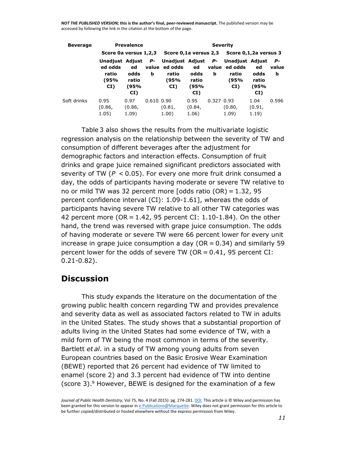| <b>Beverage</b> |                                                    | <b>Prevalence</b>                  |                | <b>Severity</b>                                             |                                    |            |                                                          |                                    |                  |  |  |
|-----------------|----------------------------------------------------|------------------------------------|----------------|-------------------------------------------------------------|------------------------------------|------------|----------------------------------------------------------|------------------------------------|------------------|--|--|
|                 | Score 0a versus 1,2,3                              |                                    |                |                                                             |                                    |            | Score 0,1a versus 2,3 Score 0,1,2a versus 3              |                                    |                  |  |  |
|                 | Unadjust Adjust<br>ed odds<br>ratio<br>(95%<br>CI) | ed<br>odds<br>ratio<br>(95%<br>CI) | <b>P-</b><br>b | Unadjust Adjust P-<br>value ed odds<br>ratio<br>(95%<br>CI) | ed<br>odds<br>ratio<br>(95%<br>CI) | b          | Unadjust Adjust<br>value ed odds<br>ratio<br>(95%<br>CI) | ed<br>odds<br>ratio<br>(95%<br>CI) | Р-<br>value<br>b |  |  |
| Soft drinks     | 0.95<br>(0.86,<br>1.05)                            | 0.97<br>(0.86,<br>1.09)            | $0.610$ $0.90$ | (0.81,<br>1.00)                                             | 0.95<br>(0.84,<br>1.06)            | 0.327 0.93 | (0.80,<br>1.09)                                          | 1.04<br>(0.91,<br>1.19)            | 0.596            |  |  |

Table [3](http://onlinelibrary.wiley.com/doi/10.1111/jphd.12096/full#jphd12096-tbl-0003) also shows the results from the multivariate logistic regression analysis on the relationship between the severity of TW and consumption of different beverages after the adjustment for demographic factors and interaction effects. Consumption of fruit drinks and grape juice remained significant predictors associated with severity of TW (*P* < 0.05). For every one more fruit drink consumed a day, the odds of participants having moderate or severe TW relative to no or mild TW was 32 percent more  $[odds \text{ ratio } (OR) = 1.32, 95]$ percent confidence interval (CI): 1.09-1.61], whereas the odds of participants having severe TW relative to all other TW categories was 42 percent more ( $OR = 1.42$ , 95 percent CI: 1.10-1.84). On the other hand, the trend was reversed with grape juice consumption. The odds of having moderate or severe TW were 66 percent lower for every unit increase in grape juice consumption a day ( $OR = 0.34$ ) and similarly 59 percent lower for the odds of severe TW ( $OR = 0.41$ , 95 percent CI: 0.21-0.82).

### **Discussion**

This study expands the literature on the documentation of the growing public health concern regarding TW and provides prevalence and severity data as well as associated factors related to TW in adults in the United States. The study shows that a substantial proportion of adults living in the United States had some evidence of TW, with a mild form of TW being the most common in terms of the severity. Bartlett *et al*. in a study of TW among young adults from seven European countries based on the Basic Erosive Wear Examination (BEWE) reported that 26 percent had evidence of TW limited to enamel (score 2) and 3.3 percent had evidence of TW into dentine (score 3). [9](http://onlinelibrary.wiley.com/doi/10.1111/jphd.12096/full#jphd12096-bib-0009) However, BEWE is designed for the examination of a few

*Journal of Public Health Dentistry*, Vol 75, No. 4 (Fall 2015): pg. 274-281[. DOI.](http://dx.doi.org/10.1111/jphd.12096) This article is © Wiley and permission has been granted for this version to appear i[n e-Publications@Marquette.](http://epublications.marquette.edu/) Wiley does not grant permission for this article to be further copied/distributed or hosted elsewhere without the express permission from Wiley.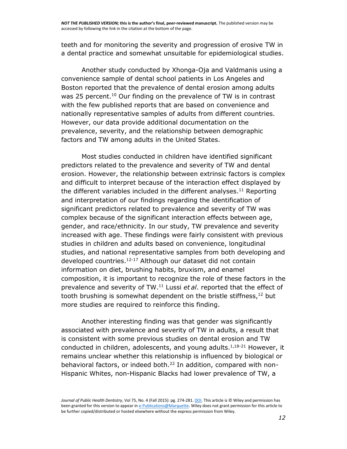teeth and for monitoring the severity and progression of erosive TW in a dental practice and somewhat unsuitable for epidemiological studies.

Another study conducted by Xhonga-Oja and Valdmanis using a convenience sample of dental school patients in Los Angeles and Boston reported that the prevalence of dental erosion among adults was 25 percent.<sup>[10](http://onlinelibrary.wiley.com/doi/10.1111/jphd.12096/full#jphd12096-bib-0010)</sup> Our finding on the prevalence of TW is in contrast with the few published reports that are based on convenience and nationally representative samples of adults from different countries. However, our data provide additional documentation on the prevalence, severity, and the relationship between demographic factors and TW among adults in the United States.

Most studies conducted in children have identified significant predictors related to the prevalence and severity of TW and dental erosion. However, the relationship between extrinsic factors is complex and difficult to interpret because of the interaction effect displayed by the different variables included in the different analyses.<sup>[11](http://onlinelibrary.wiley.com/doi/10.1111/jphd.12096/full#jphd12096-bib-0011)</sup> Reporting and interpretation of our findings regarding the identification of significant predictors related to prevalence and severity of TW was complex because of the significant interaction effects between age, gender, and race/ethnicity. In our study, TW prevalence and severity increased with age. These findings were fairly consistent with previous studies in children and adults based on convenience, longitudinal studies, and national representative samples from both developing and developed countries. [12-17](http://onlinelibrary.wiley.com/doi/10.1111/jphd.12096/full#jphd12096-bib-0012) Although our dataset did not contain information on diet, brushing habits, bruxism, and enamel composition, it is important to recognize the role of these factors in the prevalence and severity of TW. [11](http://onlinelibrary.wiley.com/doi/10.1111/jphd.12096/full#jphd12096-bib-0011) Lussi *et al*. reported that the effect of tooth brushing is somewhat dependent on the bristle stiffness,<sup>[12](http://onlinelibrary.wiley.com/doi/10.1111/jphd.12096/full#jphd12096-bib-0012)</sup> but more studies are required to reinforce this finding.

Another interesting finding was that gender was significantly associated with prevalence and severity of TW in adults, a result that is consistent with some previous studies on dental erosion and TW conducted in children, adolescents, and young adults.<sup>[1,18-21](http://onlinelibrary.wiley.com/doi/10.1111/jphd.12096/full#jphd12096-bib-0001)</sup> However, it remains unclear whether this relationship is influenced by biological or behavioral factors, or indeed both. [22](http://onlinelibrary.wiley.com/doi/10.1111/jphd.12096/full#jphd12096-bib-0022) In addition, compared with non-Hispanic Whites, non-Hispanic Blacks had lower prevalence of TW, a

*Journal of Public Health Dentistry*, Vol 75, No. 4 (Fall 2015): pg. 274-281[. DOI.](http://dx.doi.org/10.1111/jphd.12096) This article is © Wiley and permission has been granted for this version to appear i[n e-Publications@Marquette.](http://epublications.marquette.edu/) Wiley does not grant permission for this article to be further copied/distributed or hosted elsewhere without the express permission from Wiley.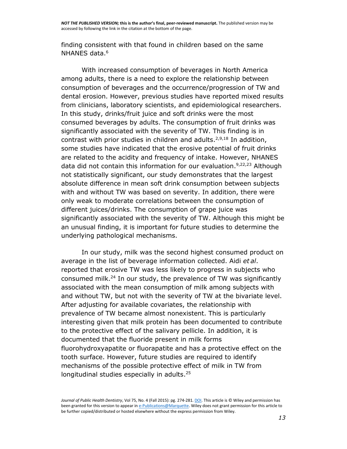finding consistent with that found in children based on the same NHANES data. [6](http://onlinelibrary.wiley.com/doi/10.1111/jphd.12096/full#jphd12096-bib-0006)

With increased consumption of beverages in North America among adults, there is a need to explore the relationship between consumption of beverages and the occurrence/progression of TW and dental erosion. However, previous studies have reported mixed results from clinicians, laboratory scientists, and epidemiological researchers. In this study, drinks/fruit juice and soft drinks were the most consumed beverages by adults. The consumption of fruit drinks was significantly associated with the severity of TW. This finding is in contrast with prior studies in children and adults.<sup>[2,9,18](http://onlinelibrary.wiley.com/doi/10.1111/jphd.12096/full#jphd12096-bib-0002)</sup> In addition, some studies have indicated that the erosive potential of fruit drinks are related to the acidity and frequency of intake. However, NHANES data did not contain this information for our evaluation. [9,22,23](http://onlinelibrary.wiley.com/doi/10.1111/jphd.12096/full#jphd12096-bib-0009) Although not statistically significant, our study demonstrates that the largest absolute difference in mean soft drink consumption between subjects with and without TW was based on severity. In addition, there were only weak to moderate correlations between the consumption of different juices/drinks. The consumption of grape juice was significantly associated with the severity of TW. Although this might be an unusual finding, it is important for future studies to determine the underlying pathological mechanisms.

In our study, milk was the second highest consumed product on average in the list of beverage information collected. Aidi *et al*. reported that erosive TW was less likely to progress in subjects who consumed milk. [24](http://onlinelibrary.wiley.com/doi/10.1111/jphd.12096/full#jphd12096-bib-0024) In our study, the prevalence of TW was significantly associated with the mean consumption of milk among subjects with and without TW, but not with the severity of TW at the bivariate level. After adjusting for available covariates, the relationship with prevalence of TW became almost nonexistent. This is particularly interesting given that milk protein has been documented to contribute to the protective effect of the salivary pellicle. In addition, it is documented that the fluoride present in milk forms fluorohydroxyapatite or fluorapatite and has a protective effect on the tooth surface. However, future studies are required to identify mechanisms of the possible protective effect of milk in TW from longitudinal studies especially in adults.<sup>[25](http://onlinelibrary.wiley.com/doi/10.1111/jphd.12096/full#jphd12096-bib-0025)</sup>

*Journal of Public Health Dentistry*, Vol 75, No. 4 (Fall 2015): pg. 274-281[. DOI.](http://dx.doi.org/10.1111/jphd.12096) This article is © Wiley and permission has been granted for this version to appear i[n e-Publications@Marquette.](http://epublications.marquette.edu/) Wiley does not grant permission for this article to be further copied/distributed or hosted elsewhere without the express permission from Wiley.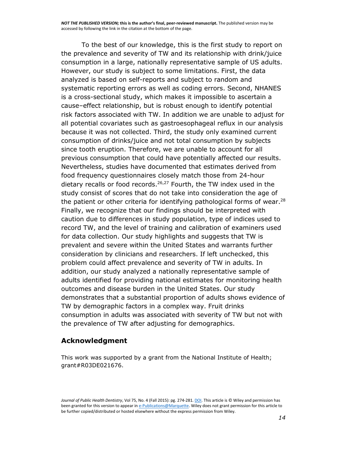To the best of our knowledge, this is the first study to report on the prevalence and severity of TW and its relationship with drink/juice consumption in a large, nationally representative sample of US adults. However, our study is subject to some limitations. First, the data analyzed is based on self-reports and subject to random and systematic reporting errors as well as coding errors. Second, NHANES is a cross-sectional study, which makes it impossible to ascertain a cause–effect relationship, but is robust enough to identify potential risk factors associated with TW. In addition we are unable to adjust for all potential covariates such as gastroesophageal reflux in our analysis because it was not collected. Third, the study only examined current consumption of drinks/juice and not total consumption by subjects since tooth eruption. Therefore, we are unable to account for all previous consumption that could have potentially affected our results. Nevertheless, studies have documented that estimates derived from food frequency questionnaires closely match those from 24-hour dietary recalls or food records. [26,27](http://onlinelibrary.wiley.com/doi/10.1111/jphd.12096/full#jphd12096-bib-0026) Fourth, the TW index used in the study consist of scores that do not take into consideration the age of the patient or other criteria for identifying pathological forms of wear.<sup>[28](http://onlinelibrary.wiley.com/doi/10.1111/jphd.12096/full#jphd12096-bib-0028)</sup> Finally, we recognize that our findings should be interpreted with caution due to differences in study population, type of indices used to record TW, and the level of training and calibration of examiners used for data collection. Our study highlights and suggests that TW is prevalent and severe within the United States and warrants further consideration by clinicians and researchers. If left unchecked, this problem could affect prevalence and severity of TW in adults. In addition, our study analyzed a nationally representative sample of adults identified for providing national estimates for monitoring health outcomes and disease burden in the United States. Our study demonstrates that a substantial proportion of adults shows evidence of TW by demographic factors in a complex way. Fruit drinks consumption in adults was associated with severity of TW but not with the prevalence of TW after adjusting for demographics.

### **Acknowledgment**

This work was supported by a grant from the National Institute of Health; grant#R03DE021676.

*Journal of Public Health Dentistry*, Vol 75, No. 4 (Fall 2015): pg. 274-281[. DOI.](http://dx.doi.org/10.1111/jphd.12096) This article is © Wiley and permission has been granted for this version to appear i[n e-Publications@Marquette.](http://epublications.marquette.edu/) Wiley does not grant permission for this article to be further copied/distributed or hosted elsewhere without the express permission from Wiley.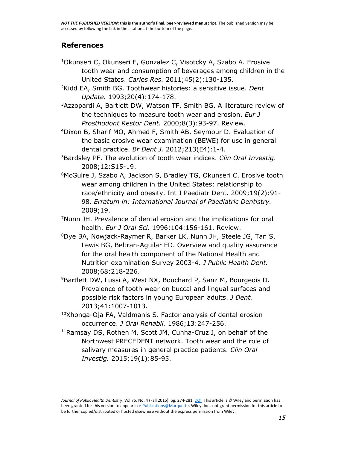### **[References](http://onlinelibrary.wiley.com/doi/10.1111/jphd.12096/full#jphd12096-bibl-0001)**

- <sup>1</sup>Okunseri C, Okunseri E, Gonzalez C, Visotcky A, Szabo A. Erosive tooth wear and consumption of beverages among children in the United States. *Caries Res.* 2011;45(2):130-135.
- <sup>2</sup>Kidd EA, Smith BG. Toothwear histories: a sensitive issue. *Dent Update.* 1993;20(4):174-178.
- <sup>3</sup>Azzopardi A, Bartlett DW, Watson TF, Smith BG. A literature review of the techniques to measure tooth wear and erosion. *Eur J Prosthodont Restor Dent.* 2000;8(3):93-97. Review.
- <sup>4</sup>Dixon B, Sharif MO, Ahmed F, Smith AB, Seymour D. Evaluation of the basic erosive wear examination (BEWE) for use in general dental practice. *Br Dent J.* 2012;213(E4):1-4.
- <sup>5</sup>Bardsley PF. The evolution of tooth wear indices. *Clin Oral Investig*. 2008;12:S15-19.
- <sup>6</sup>McGuire J, Szabo A, Jackson S, Bradley TG, Okunseri C. Erosive tooth wear among children in the United States: relationship to race/ethnicity and obesity. Int J Paediatr Dent. 2009;19(2):91- 98. *Erratum in: International Journal of Paediatric Dentistry.*  2009;19.
- <sup>7</sup>Nunn JH. Prevalence of dental erosion and the implications for oral health. *Eur J Oral Sci.* 1996;104:156-161. Review.
- <sup>8</sup>Dye BA, Nowjack-Raymer R, Barker LK, Nunn JH, Steele JG, Tan S, Lewis BG, Beltran-Aguilar ED. Overview and quality assurance for the oral health component of the National Health and Nutrition examination Survey 2003-4. *J Public Health Dent.*  2008;68:218-226.
- <sup>9</sup>Bartlett DW, Lussi A, West NX, Bouchard P, Sanz M, Bourgeois D. Prevalence of tooth wear on buccal and lingual surfaces and possible risk factors in young European adults. *J Dent.*  2013;41:1007-1013.
- <sup>10</sup>Xhonga-Oja FA, Valdmanis S. Factor analysis of dental erosion occurrence. *J Oral Rehabil.* 1986;13:247-256.
- <sup>11</sup>Ramsay DS, Rothen M, Scott JM, Cunha-Cruz J, on behalf of the Northwest PRECEDENT network. Tooth wear and the role of salivary measures in general practice patients. *Clin Oral Investig.* 2015;19(1):85-95.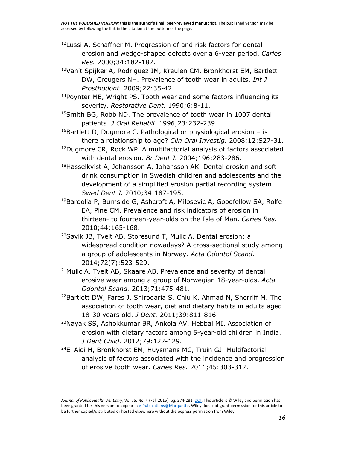- <sup>12</sup>Lussi A, Schaffner M. Progression of and risk factors for dental erosion and wedge-shaped defects over a 6-year period. *Caries Res.* 2000;34:182-187.
- <sup>13</sup>Van't Spijker A, Rodriguez JM, Kreulen CM, Bronkhorst EM, Bartlett DW, Creugers NH. Prevalence of tooth wear in adults. *Int J Prosthodont.* 2009;22:35-42.
- <sup>14</sup>Poynter ME, Wright PS. Tooth wear and some factors influencing its severity. *Restorative Dent.* 1990;6:8-11.
- <sup>15</sup>Smith BG, Robb ND. The prevalence of tooth wear in 1007 dental patients. *J Oral Rehabil.* 1996;23:232-239.
- $16$ Bartlett D, Dugmore C. Pathological or physiological erosion is there a relationship to age? *Clin Oral Investig.* 2008;12:S27-31.
- <sup>17</sup>Dugmore CR, Rock WP. A multifactorial analysis of factors associated with dental erosion. *Br Dent J.* 2004;196:283-286.
- 18Hasselkvist A, Johansson A, Johansson AK. Dental erosion and soft drink consumption in Swedish children and adolescents and the development of a simplified erosion partial recording system. *Swed Dent J.* 2010;34:187-195.
- <sup>19</sup>Bardolia P, Burnside G, Ashcroft A, Milosevic A, Goodfellow SA, Rolfe EA, Pine CM. Prevalence and risk indicators of erosion in thirteen- to fourteen-year-olds on the Isle of Man. *Caries Res.*  2010;44:165-168.
- <sup>20</sup>Søvik JB, Tveit AB, Storesund T, Mulic A. Dental erosion: a widespread condition nowadays? A cross-sectional study among a group of adolescents in Norway. *Acta Odontol Scand.*  2014;72(7):523-529.
- <sup>21</sup>Mulic A, Tveit AB, Skaare AB. Prevalence and severity of dental erosive wear among a group of Norwegian 18-year-olds. *Acta Odontol Scand.* 2013;71:475-481.
- <sup>22</sup>Bartlett DW, Fares J, Shirodaria S, Chiu K, Ahmad N, Sherriff M. The association of tooth wear, diet and dietary habits in adults aged 18-30 years old. *J Dent.* 2011;39:811-816.
- <sup>23</sup>Nayak SS, Ashokkumar BR, Ankola AV, Hebbal MI. Association of erosion with dietary factors among 5-year-old children in India. *J Dent Child.* 2012;79:122-129.
- <sup>24</sup>El Aidi H, Bronkhorst EM, Huysmans MC, Truin GJ. Multifactorial analysis of factors associated with the incidence and progression of erosive tooth wear. *Caries Res.* 2011;45:303-312.

Journal of Public Health Dentistry, Vol 75, No. 4 (Fall 2015): pg. 274-281. **DOI**. This article is © Wiley and permission has been granted for this version to appear i[n e-Publications@Marquette.](http://epublications.marquette.edu/) Wiley does not grant permission for this article to be further copied/distributed or hosted elsewhere without the express permission from Wiley.